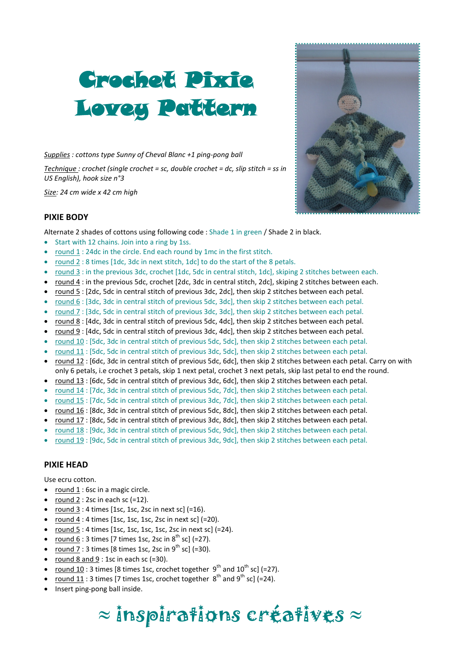# Crochet Pixie Lovey Pattern

*Supplies : cottons type Sunny of Cheval Blanc +1 ping-pong ball*

*Technique : crochet (single crochet = sc, double crochet = dc, slip stitch = ss in US English), hook size n°3*

*Size: 24 cm wide x 42 cm high*



#### **PIXIE BODY**

Alternate 2 shades of cottons using following code : Shade 1 in green / Shade 2 in black.

- Start with 12 chains. Join into a ring by 1ss.
- round 1 : 24dc in the circle. End each round by 1mc in the first stitch.
- round 2 : 8 times [1dc, 3dc in next stitch, 1dc] to do the start of the 8 petals.
- round 3 : in the previous 3dc, crochet [1dc, 5dc in central stitch, 1dc], skiping 2 stitches between each.
- round 4 : in the previous 5dc, crochet [2dc, 3dc in central stitch, 2dc], skiping 2 stitches between each.
- round 5 : [2dc, 5dc in central stitch of previous 3dc, 2dc], then skip 2 stitches between each petal.
- round 6 : [3dc, 3dc in central stitch of previous 5dc, 3dc], then skip 2 stitches between each petal.
- round 7 : [3dc, 5dc in central stitch of previous 3dc, 3dc], then skip 2 stitches between each petal.
- round 8 : [4dc, 3dc in central stitch of previous 5dc, 4dc], then skip 2 stitches between each petal.
- round 9 : [4dc, 5dc in central stitch of previous 3dc, 4dc], then skip 2 stitches between each petal.
- round 10 : [5dc, 3dc in central stitch of previous 5dc, 5dc], then skip 2 stitches between each petal.
- round 11 : [5dc, 5dc in central stitch of previous 3dc, 5dc], then skip 2 stitches between each petal.
- round 12 : [6dc, 3dc in central stitch of previous 5dc, 6dc], then skip 2 stitches between each petal. Carry on with only 6 petals, i.e crochet 3 petals, skip 1 next petal, crochet 3 next petals, skip last petal to end the round.
- round 13 : [6dc, 5dc in central stitch of previous 3dc, 6dc], then skip 2 stitches between each petal.
- round 14 : [7dc, 3dc in central stitch of previous 5dc, 7dc], then skip 2 stitches between each petal.
- round 15 : [7dc, 5dc in central stitch of previous 3dc, 7dc], then skip 2 stitches between each petal.
- round 16 : [8dc, 3dc in central stitch of previous 5dc, 8dc], then skip 2 stitches between each petal.
- round 17 : [8dc, 5dc in central stitch of previous 3dc, 8dc], then skip 2 stitches between each petal.
- round 18 : [9dc, 3dc in central stitch of previous 5dc, 9dc], then skip 2 stitches between each petal.
- round 19 : [9dc, 5dc in central stitch of previous 3dc, 9dc], then skip 2 stitches between each petal.

#### **PIXIE HEAD**

Use ecru cotton.

- round  $1:6$ sc in a magic circle.
- round 2 : 2sc in each sc  $(=12)$ .
- round  $3:4$  times [1sc, 1sc, 2sc in next sc] (=16).
- round  $4:4$  times [1sc, 1sc, 1sc, 2sc in next sc] (=20).
- round  $5:4$  times [1sc, 1sc, 1sc, 1sc, 2sc in next sc] (=24).
- round  $6:3$  times [7 times 1sc, 2sc in  $8^{\text{th}}$  sc] (=27).
- round  $7:3$  times [8 times 1sc, 2sc in  $9^{th}$  sc] (=30).
- round 8 and 9 : 1sc in each sc  $(=30)$ .
- round 10 : 3 times [8 times 1sc, crochet together  $9<sup>th</sup>$  and  $10<sup>th</sup>$  sc] (=27).
- round 11: 3 times [7 times 1sc, crochet together  $8^{th}$  and  $9^{th}$  sc] (=24).
- Insert ping-pong ball inside.

## $\approx$  inspirations créatives  $\approx$